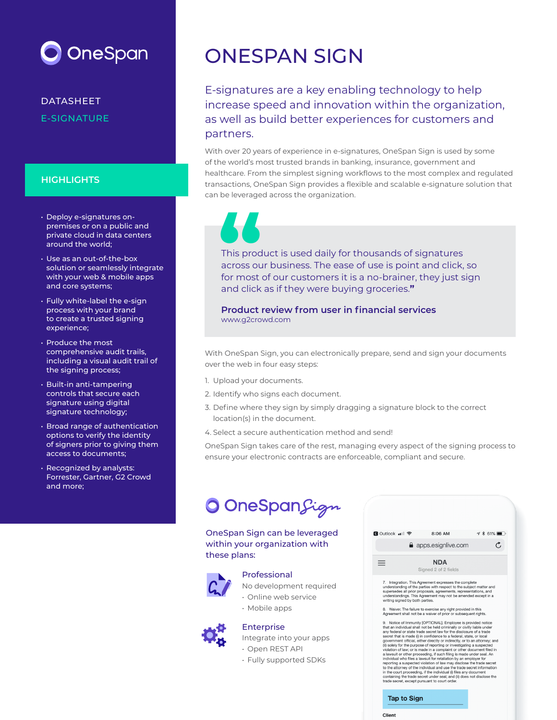

DATASHEET E-SIGNATURE

### **HIGHLIGHTS**

- Deploy e-signatures onpremises or on a public and private cloud in data centers around the world;
- Use as an out-of-the-box solution or seamlessly integrate with your web & mobile apps and core systems;
- Fully white-label the e-sign process with your brand to create a trusted signing experience;
- Produce the most comprehensive audit trails, including a visual audit trail of the signing process;
- Built-in anti-tampering controls that secure each signature using digital signature technology;
- Broad range of authentication options to verify the identity of signers prior to giving them access to documents;
- Recognized by analysts: Forrester, Gartner, G2 Crowd and more;

# ONESPAN SIGN

E-signatures are a key enabling technology to help increase speed and innovation within the organization, as well as build better experiences for customers and partners.

With over 20 years of experience in e-signatures, OneSpan Sign is used by some of the world's most trusted brands in banking, insurance, government and healthcare. From the simplest signing workflows to the most complex and regulated transactions, OneSpan Sign provides a flexible and scalable e-signature solution that can be leveraged across the organization.



This product is used daily for thousands of signatures across our business. The ease of use is point and click, so for most of our customers it is a no-brainer, they just sign and click as if they were buying groceries.**"**

**Product review from user in financial services** www.g2crowd.com

With OneSpan Sign, you can electronically prepare, send and sign your documents over the web in four easy steps:

- 1. Upload your documents.
- 2. Identify who signs each document.
- 3. Define where they sign by simply dragging a signature block to the correct location(s) in the document.
- 4. Select a secure authentication method and send!

OneSpan Sign takes care of the rest, managing every aspect of the signing process to ensure your electronic contracts are enforceable, compliant and secure.

# **O** OneSpanSign

OneSpan Sign can be leveraged within your organization with these plans:



#### Professional

[No development required](https://www.esignlive.com/products/professional-electronic-signature/) • Online web service

- Mobile apps
- 

# Enterprise

[Integrate into your apps](https://www.esignlive.com/products/enterprise-electronic-signature/)

- Open REST API
- Fully supported SDKs

| <mark>ৰ</mark> Outlook ••Ⅱ ÷    | 8:06 AM                                                                                                                                                                                                                                                                                                                                                                                                                                | $4 * 61%$ |
|---------------------------------|----------------------------------------------------------------------------------------------------------------------------------------------------------------------------------------------------------------------------------------------------------------------------------------------------------------------------------------------------------------------------------------------------------------------------------------|-----------|
|                                 | apps.esignlive.com                                                                                                                                                                                                                                                                                                                                                                                                                     |           |
| ≡                               | <b>NDA</b><br>Signed 2 of 2 fields                                                                                                                                                                                                                                                                                                                                                                                                     |           |
| writing signed by both parties. | understanding of the parties with respect to the subject matter and<br>supersedes all prior proposals, agreements, representations, and<br>understandings. This Agreement may not be amended except in a                                                                                                                                                                                                                               |           |
|                                 | 8. Waiver. The failure to exercise any right provided in this                                                                                                                                                                                                                                                                                                                                                                          |           |
|                                 | Agreement shall not be a waiver of prior or subsequent rights.<br>9. Notice of Immunity [OPTIONAL]. Employee is provided notice<br>that an individual shall not be held criminally or civilly liable under<br>any federal or state trade secret law for the disclosure of a trade<br>secret that is made (i) in confidence to a federal, state, or local<br>government official, either directly or indirectly, or to an attorney; and |           |
|                                 | (ii) solely for the purpose of reporting or investigating a suspected<br>violation of law; or is made in a complaint or other document filed in<br>a lawsuit or other proceeding, if such filing is made under seal. An<br>individual who files a lawsuit for retaliation by an employer for                                                                                                                                           |           |

reporting a suspected violation of law may disclose the trade secret<br>to the attorney of the individual and use the trade secret in<br>the court proceeding, if the individual (i) files any document<br>in the court proceeding, if

#### **Tap to Sign**

Client